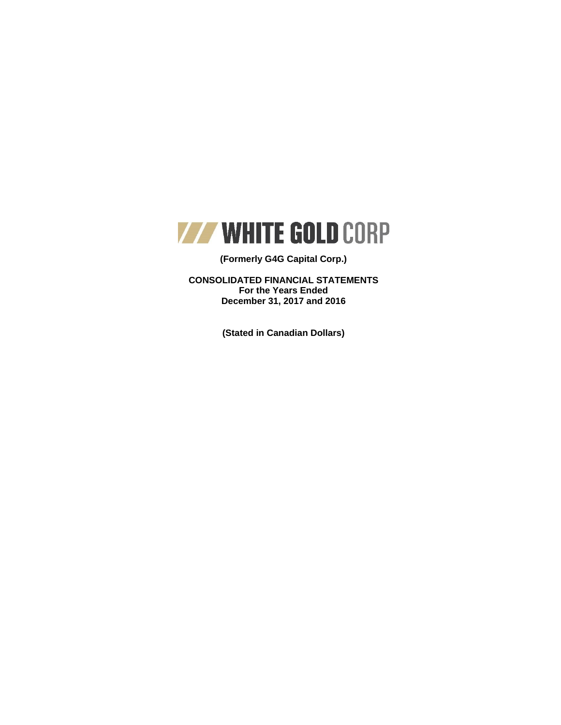

# **(Formerly G4G Capital Corp.)**

**CONSOLIDATED FINANCIAL STATEMENTS For the Years Ended December 31, 2017 and 2016**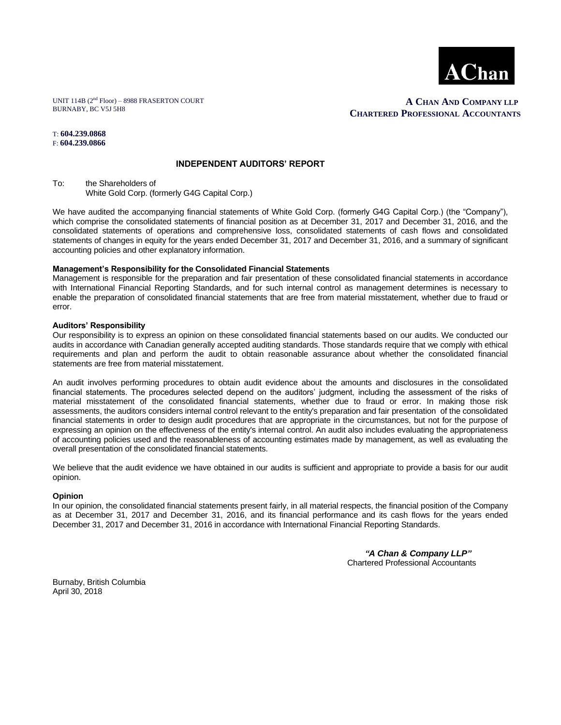

UNIT 114B  $(2^{nd}$  Floor) – 8988 FRASERTON COURT BURNABY, BC V5J 5H8

 **A CHAN AND COMPANY LLP CHARTERED PROFESSIONAL ACCOUNTANTS**

T: **604.239.0868**  F: **604.239.0866**

#### **INDEPENDENT AUDITORS' REPORT**

To: the Shareholders of White Gold Corp. (formerly G4G Capital Corp.)

We have audited the accompanying financial statements of White Gold Corp. (formerly G4G Capital Corp.) (the "Company"), which comprise the consolidated statements of financial position as at December 31, 2017 and December 31, 2016, and the consolidated statements of operations and comprehensive loss, consolidated statements of cash flows and consolidated statements of changes in equity for the years ended December 31, 2017 and December 31, 2016, and a summary of significant accounting policies and other explanatory information.

#### **Management's Responsibility for the Consolidated Financial Statements**

Management is responsible for the preparation and fair presentation of these consolidated financial statements in accordance with International Financial Reporting Standards, and for such internal control as management determines is necessary to enable the preparation of consolidated financial statements that are free from material misstatement, whether due to fraud or error.

#### **Auditors' Responsibility**

Our responsibility is to express an opinion on these consolidated financial statements based on our audits. We conducted our audits in accordance with Canadian generally accepted auditing standards. Those standards require that we comply with ethical requirements and plan and perform the audit to obtain reasonable assurance about whether the consolidated financial statements are free from material misstatement.

An audit involves performing procedures to obtain audit evidence about the amounts and disclosures in the consolidated financial statements. The procedures selected depend on the auditors' judgment, including the assessment of the risks of material misstatement of the consolidated financial statements, whether due to fraud or error. In making those risk assessments, the auditors considers internal control relevant to the entity's preparation and fair presentation of the consolidated financial statements in order to design audit procedures that are appropriate in the circumstances, but not for the purpose of expressing an opinion on the effectiveness of the entity's internal control. An audit also includes evaluating the appropriateness of accounting policies used and the reasonableness of accounting estimates made by management, as well as evaluating the overall presentation of the consolidated financial statements.

We believe that the audit evidence we have obtained in our audits is sufficient and appropriate to provide a basis for our audit opinion.

#### **Opinion**

In our opinion, the consolidated financial statements present fairly, in all material respects, the financial position of the Company as at December 31, 2017 and December 31, 2016, and its financial performance and its cash flows for the years ended December 31, 2017 and December 31, 2016 in accordance with International Financial Reporting Standards.

> *"A Chan & Company LLP"* Chartered Professional Accountants

Burnaby, British Columbia April 30, 2018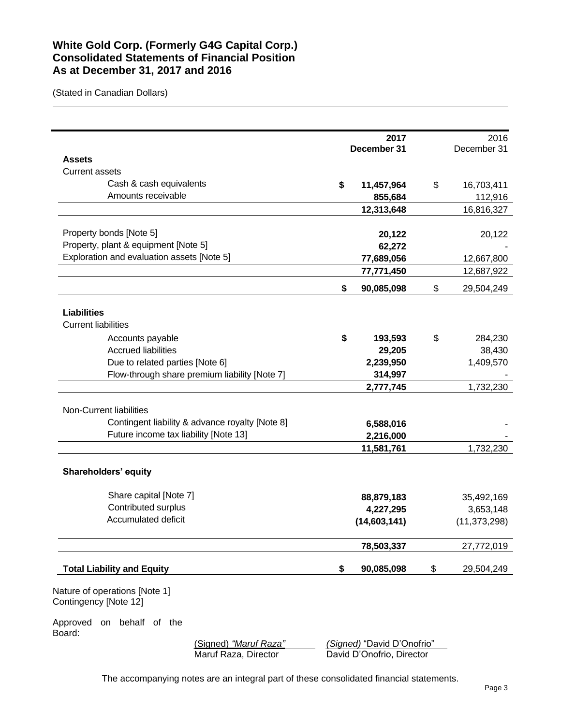# **White Gold Corp. (Formerly G4G Capital Corp.) Consolidated Statements of Financial Position As at December 31, 2017 and 2016**

(Stated in Canadian Dollars)

|                                                        | 2017                      | 2016             |
|--------------------------------------------------------|---------------------------|------------------|
| <b>Assets</b>                                          | December 31               | December 31      |
| <b>Current assets</b>                                  |                           |                  |
| Cash & cash equivalents                                | \$<br>11,457,964          | \$<br>16,703,411 |
| Amounts receivable                                     | 855,684                   | 112,916          |
|                                                        | 12,313,648                | 16,816,327       |
|                                                        |                           |                  |
| Property bonds [Note 5]                                | 20,122                    | 20,122           |
| Property, plant & equipment [Note 5]                   | 62,272                    |                  |
| Exploration and evaluation assets [Note 5]             | 77,689,056                | 12,667,800       |
|                                                        | 77,771,450                | 12,687,922       |
|                                                        | \$<br>90,085,098          | \$<br>29,504,249 |
| <b>Liabilities</b>                                     |                           |                  |
| <b>Current liabilities</b>                             |                           |                  |
| Accounts payable                                       | \$<br>193,593             | \$<br>284,230    |
| <b>Accrued liabilities</b>                             | 29,205                    | 38,430           |
| Due to related parties [Note 6]                        | 2,239,950                 | 1,409,570        |
| Flow-through share premium liability [Note 7]          | 314,997                   |                  |
|                                                        | 2,777,745                 | 1,732,230        |
| Non-Current liabilities                                |                           |                  |
| Contingent liability & advance royalty [Note 8]        |                           |                  |
| Future income tax liability [Note 13]                  | 6,588,016<br>2,216,000    |                  |
|                                                        | 11,581,761                | 1,732,230        |
| Shareholders' equity                                   |                           |                  |
|                                                        |                           |                  |
| Share capital [Note 7]                                 | 88,879,183                | 35,492,169       |
| Contributed surplus                                    | 4,227,295                 | 3,653,148        |
| Accumulated deficit                                    | (14,603,141)              | (11, 373, 298)   |
|                                                        | 78,503,337                | 27,772,019       |
| <b>Total Liability and Equity</b>                      | \$<br>90,085,098          | \$<br>29,504,249 |
| Nature of operations [Note 1]<br>Contingency [Note 12] |                           |                  |
| Approved<br>on behalf of the                           |                           |                  |
| Board:                                                 |                           |                  |
| (Signed) "Maruf Raza"                                  | "Sianed) "David D'Onofrio |                  |

(Signed) *"Maruf Raza" (Signed)* "David D'Onofrio"

Maruf Raza, Director David D'Onofrio, Director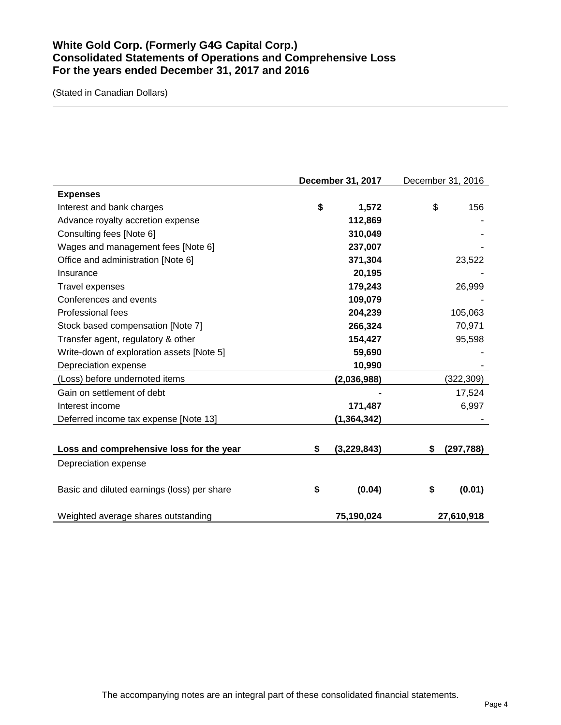# **White Gold Corp. (Formerly G4G Capital Corp.) Consolidated Statements of Operations and Comprehensive Loss For the years ended December 31, 2017 and 2016**

|                                             | December 31, 2017   | December 31, 2016 |            |
|---------------------------------------------|---------------------|-------------------|------------|
| <b>Expenses</b>                             |                     |                   |            |
| Interest and bank charges                   | \$<br>1,572         | \$                | 156        |
| Advance royalty accretion expense           | 112,869             |                   |            |
| Consulting fees [Note 6]                    | 310,049             |                   |            |
| Wages and management fees [Note 6]          | 237,007             |                   |            |
| Office and administration [Note 6]          | 371,304             |                   | 23,522     |
| Insurance                                   | 20,195              |                   |            |
| Travel expenses                             | 179,243             |                   | 26,999     |
| Conferences and events                      | 109,079             |                   |            |
| Professional fees                           | 204,239             |                   | 105,063    |
| Stock based compensation [Note 7]           | 266,324             |                   | 70,971     |
| Transfer agent, regulatory & other          | 154,427             |                   | 95,598     |
| Write-down of exploration assets [Note 5]   | 59,690              |                   |            |
| Depreciation expense                        | 10,990              |                   |            |
| (Loss) before undernoted items              | (2,036,988)         |                   | (322,309)  |
| Gain on settlement of debt                  |                     |                   | 17,524     |
| Interest income                             | 171,487             |                   | 6,997      |
| Deferred income tax expense [Note 13]       | (1,364,342)         |                   |            |
|                                             |                     |                   |            |
| Loss and comprehensive loss for the year    | \$<br>(3, 229, 843) | \$                | (297, 788) |
| Depreciation expense                        |                     |                   |            |
| Basic and diluted earnings (loss) per share | \$<br>(0.04)        | \$                | (0.01)     |
| Weighted average shares outstanding         | 75,190,024          |                   | 27,610,918 |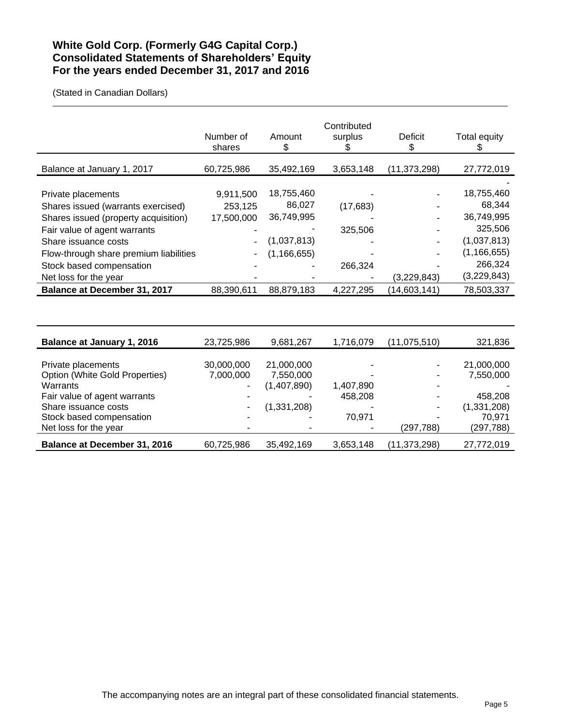# **White Gold Corp. (Formerly G4G Capital Corp.) Consolidated Statements of Shareholders' Equity For the years ended December 31, 2017 and 2016**

|                                                                      | Number of<br>shares  | Amount<br>\$.                | Contributed<br>surplus | Deficit<br>S.  | Total equity<br>\$           |
|----------------------------------------------------------------------|----------------------|------------------------------|------------------------|----------------|------------------------------|
| Balance at January 1, 2017                                           | 60,725,986           | 35,492,169                   | 3,653,148              | (11, 373, 298) | 27,772,019                   |
| Private placements<br>Shares issued (warrants exercised)             | 9,911,500<br>253,125 | 18,755,460<br>86,027         | (17, 683)              |                | 18,755,460<br>68,344         |
| Shares issued (property acquisition)<br>Fair value of agent warrants | 17,500,000           | 36,749,995                   | 325,506                |                | 36,749,995<br>325,506        |
| Share issuance costs<br>Flow-through share premium liabilities       |                      | (1,037,813)<br>(1, 166, 655) |                        |                | (1,037,813)<br>(1, 166, 655) |
| Stock based compensation<br>Net loss for the year                    |                      |                              | 266,324                | (3,229,843)    | 266,324<br>(3,229,843)       |
| Balance at December 31, 2017                                         | 88,390,611           | 88,879,183                   | 4,227,295              | (14,603,141)   | 78,503,337                   |
|                                                                      |                      |                              |                        |                |                              |

| Balance at January 1, 2016          | 23,725,986 | 9,681,267     | 1,716,079 | (11, 075, 510) | 321,836       |
|-------------------------------------|------------|---------------|-----------|----------------|---------------|
|                                     |            |               |           |                |               |
| Private placements                  | 30,000,000 | 21,000,000    | ۰         |                | 21,000,000    |
| Option (White Gold Properties)      | 7,000,000  | 7,550,000     |           |                | 7,550,000     |
| Warrants                            |            | (1,407,890)   | 1,407,890 |                |               |
| Fair value of agent warrants        |            |               | 458,208   |                | 458.208       |
| Share issuance costs                |            | (1, 331, 208) |           |                | (1, 331, 208) |
| Stock based compensation            |            |               | 70.971    |                | 70.971        |
| Net loss for the year               | -          |               | ۰         | (297,788)      | (297, 788)    |
| <b>Balance at December 31, 2016</b> | 60,725,986 | 35,492,169    | 3,653,148 | (11, 373, 298) | 27,772,019    |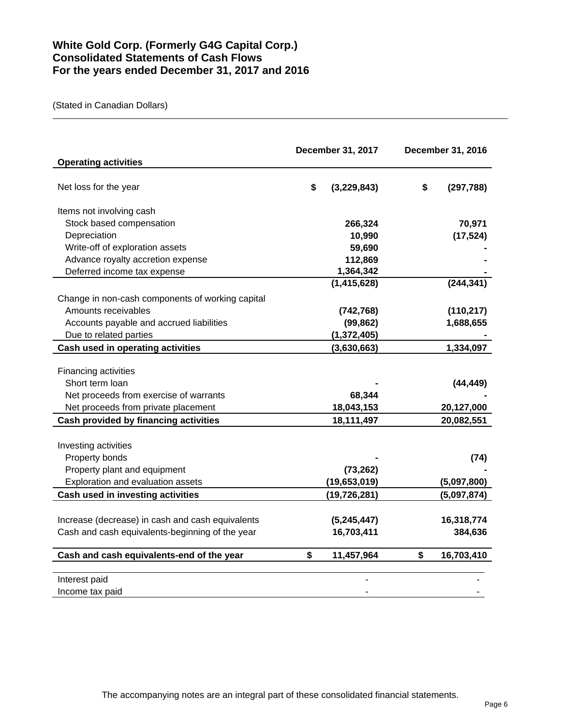# **White Gold Corp. (Formerly G4G Capital Corp.) Consolidated Statements of Cash Flows For the years ended December 31, 2017 and 2016**

|                                                  | <b>December 31, 2017</b> | December 31, 2016 |  |  |
|--------------------------------------------------|--------------------------|-------------------|--|--|
| <b>Operating activities</b>                      |                          |                   |  |  |
| Net loss for the year                            | \$<br>(3,229,843)        | \$<br>(297, 788)  |  |  |
| Items not involving cash                         |                          |                   |  |  |
| Stock based compensation                         | 266,324                  | 70,971            |  |  |
| Depreciation                                     | 10,990                   | (17, 524)         |  |  |
| Write-off of exploration assets                  | 59,690                   |                   |  |  |
| Advance royalty accretion expense                | 112,869                  |                   |  |  |
| Deferred income tax expense                      | 1,364,342                |                   |  |  |
|                                                  | (1, 415, 628)            | (244, 341)        |  |  |
| Change in non-cash components of working capital |                          |                   |  |  |
| Amounts receivables                              | (742, 768)               | (110, 217)        |  |  |
| Accounts payable and accrued liabilities         | (99, 862)                | 1,688,655         |  |  |
| Due to related parties                           | (1, 372, 405)            |                   |  |  |
| Cash used in operating activities                | (3,630,663)              | 1,334,097         |  |  |
|                                                  |                          |                   |  |  |
| Financing activities                             |                          |                   |  |  |
| Short term loan                                  |                          | (44, 449)         |  |  |
| Net proceeds from exercise of warrants           | 68,344                   |                   |  |  |
| Net proceeds from private placement              | 18,043,153               | 20,127,000        |  |  |
| Cash provided by financing activities            | 18,111,497               | 20,082,551        |  |  |
|                                                  |                          |                   |  |  |
| Investing activities                             |                          |                   |  |  |
| Property bonds                                   |                          | (74)              |  |  |
| Property plant and equipment                     | (73, 262)                |                   |  |  |
| Exploration and evaluation assets                | (19,653,019)             | (5,097,800)       |  |  |
| Cash used in investing activities                | (19, 726, 281)           | (5,097,874)       |  |  |
|                                                  |                          |                   |  |  |
| Increase (decrease) in cash and cash equivalents | (5,245,447)              | 16,318,774        |  |  |
| Cash and cash equivalents-beginning of the year  | 16,703,411               | 384,636           |  |  |
| Cash and cash equivalents-end of the year        | \$<br>11,457,964         | \$<br>16,703,410  |  |  |
|                                                  |                          |                   |  |  |
| Interest paid                                    |                          |                   |  |  |
| Income tax paid                                  |                          |                   |  |  |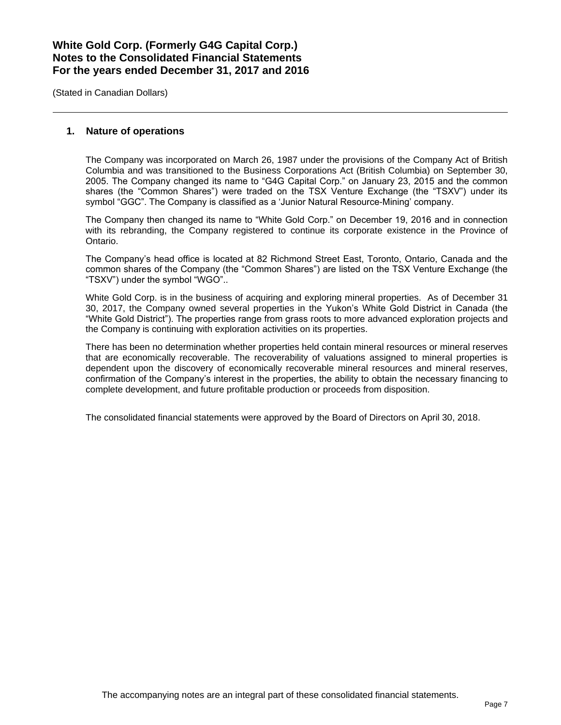(Stated in Canadian Dollars)

### **1. Nature of operations**

The Company was incorporated on March 26, 1987 under the provisions of the Company Act of British Columbia and was transitioned to the Business Corporations Act (British Columbia) on September 30, 2005. The Company changed its name to "G4G Capital Corp." on January 23, 2015 and the common shares (the "Common Shares") were traded on the TSX Venture Exchange (the "TSXV") under its symbol "GGC". The Company is classified as a 'Junior Natural Resource-Mining' company.

The Company then changed its name to "White Gold Corp." on December 19, 2016 and in connection with its rebranding, the Company registered to continue its corporate existence in the Province of Ontario.

The Company's head office is located at 82 Richmond Street East, Toronto, Ontario, Canada and the common shares of the Company (the "Common Shares") are listed on the TSX Venture Exchange (the "TSXV") under the symbol "WGO"..

White Gold Corp. is in the business of acquiring and exploring mineral properties. As of December 31 30, 2017, the Company owned several properties in the Yukon's White Gold District in Canada (the "White Gold District"). The properties range from grass roots to more advanced exploration projects and the Company is continuing with exploration activities on its properties.

There has been no determination whether properties held contain mineral resources or mineral reserves that are economically recoverable. The recoverability of valuations assigned to mineral properties is dependent upon the discovery of economically recoverable mineral resources and mineral reserves, confirmation of the Company's interest in the properties, the ability to obtain the necessary financing to complete development, and future profitable production or proceeds from disposition.

The consolidated financial statements were approved by the Board of Directors on April 30, 2018.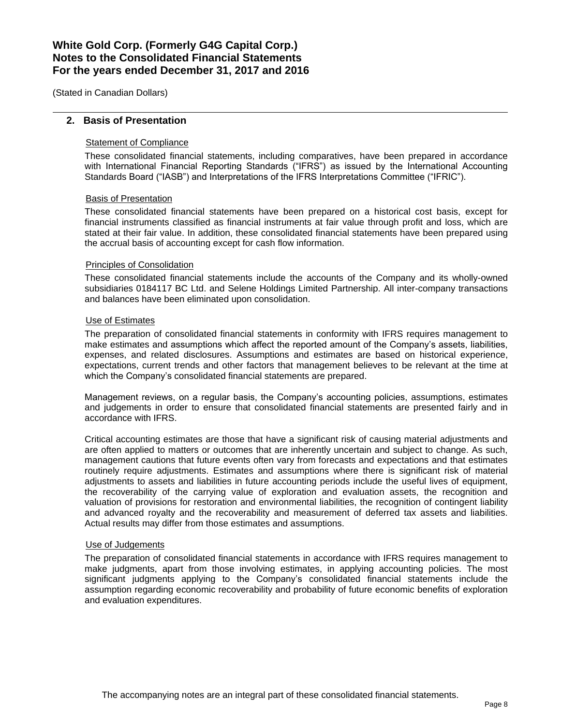(Stated in Canadian Dollars)

### **2. Basis of Presentation**

# Statement of Compliance

These consolidated financial statements, including comparatives, have been prepared in accordance with International Financial Reporting Standards ("IFRS") as issued by the International Accounting Standards Board ("IASB") and Interpretations of the IFRS Interpretations Committee ("IFRIC").

### Basis of Presentation

These consolidated financial statements have been prepared on a historical cost basis, except for financial instruments classified as financial instruments at fair value through profit and loss, which are stated at their fair value. In addition, these consolidated financial statements have been prepared using the accrual basis of accounting except for cash flow information.

#### Principles of Consolidation

These consolidated financial statements include the accounts of the Company and its wholly-owned subsidiaries 0184117 BC Ltd. and Selene Holdings Limited Partnership. All inter-company transactions and balances have been eliminated upon consolidation.

#### Use of Estimates

The preparation of consolidated financial statements in conformity with IFRS requires management to make estimates and assumptions which affect the reported amount of the Company's assets, liabilities, expenses, and related disclosures. Assumptions and estimates are based on historical experience, expectations, current trends and other factors that management believes to be relevant at the time at which the Company's consolidated financial statements are prepared.

Management reviews, on a regular basis, the Company's accounting policies, assumptions, estimates and judgements in order to ensure that consolidated financial statements are presented fairly and in accordance with IFRS.

Critical accounting estimates are those that have a significant risk of causing material adjustments and are often applied to matters or outcomes that are inherently uncertain and subject to change. As such, management cautions that future events often vary from forecasts and expectations and that estimates routinely require adjustments. Estimates and assumptions where there is significant risk of material adjustments to assets and liabilities in future accounting periods include the useful lives of equipment, the recoverability of the carrying value of exploration and evaluation assets, the recognition and valuation of provisions for restoration and environmental liabilities, the recognition of contingent liability and advanced royalty and the recoverability and measurement of deferred tax assets and liabilities. Actual results may differ from those estimates and assumptions.

### Use of Judgements

The preparation of consolidated financial statements in accordance with IFRS requires management to make judgments, apart from those involving estimates, in applying accounting policies. The most significant judgments applying to the Company's consolidated financial statements include the assumption regarding economic recoverability and probability of future economic benefits of exploration and evaluation expenditures.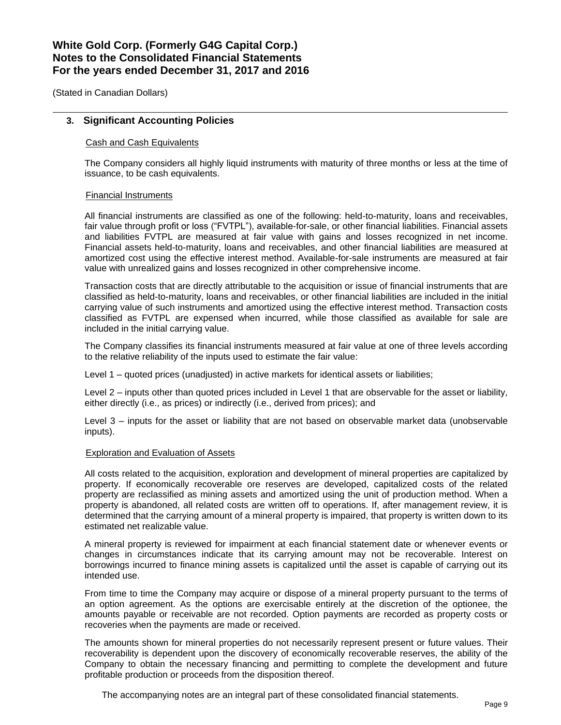(Stated in Canadian Dollars)

## **3. Significant Accounting Policies**

#### Cash and Cash Equivalents

The Company considers all highly liquid instruments with maturity of three months or less at the time of issuance, to be cash equivalents.

#### Financial Instruments

All financial instruments are classified as one of the following: held-to-maturity, loans and receivables, fair value through profit or loss ("FVTPL"), available-for-sale, or other financial liabilities. Financial assets and liabilities FVTPL are measured at fair value with gains and losses recognized in net income. Financial assets held-to-maturity, loans and receivables, and other financial liabilities are measured at amortized cost using the effective interest method. Available-for-sale instruments are measured at fair value with unrealized gains and losses recognized in other comprehensive income.

Transaction costs that are directly attributable to the acquisition or issue of financial instruments that are classified as held-to-maturity, loans and receivables, or other financial liabilities are included in the initial carrying value of such instruments and amortized using the effective interest method. Transaction costs classified as FVTPL are expensed when incurred, while those classified as available for sale are included in the initial carrying value.

The Company classifies its financial instruments measured at fair value at one of three levels according to the relative reliability of the inputs used to estimate the fair value:

Level 1 – quoted prices (unadjusted) in active markets for identical assets or liabilities;

Level 2 – inputs other than quoted prices included in Level 1 that are observable for the asset or liability, either directly (i.e., as prices) or indirectly (i.e., derived from prices); and

Level 3 – inputs for the asset or liability that are not based on observable market data (unobservable inputs).

#### Exploration and Evaluation of Assets

All costs related to the acquisition, exploration and development of mineral properties are capitalized by property. If economically recoverable ore reserves are developed, capitalized costs of the related property are reclassified as mining assets and amortized using the unit of production method. When a property is abandoned, all related costs are written off to operations. If, after management review, it is determined that the carrying amount of a mineral property is impaired, that property is written down to its estimated net realizable value.

A mineral property is reviewed for impairment at each financial statement date or whenever events or changes in circumstances indicate that its carrying amount may not be recoverable. Interest on borrowings incurred to finance mining assets is capitalized until the asset is capable of carrying out its intended use.

From time to time the Company may acquire or dispose of a mineral property pursuant to the terms of an option agreement. As the options are exercisable entirely at the discretion of the optionee, the amounts payable or receivable are not recorded. Option payments are recorded as property costs or recoveries when the payments are made or received.

The amounts shown for mineral properties do not necessarily represent present or future values. Their recoverability is dependent upon the discovery of economically recoverable reserves, the ability of the Company to obtain the necessary financing and permitting to complete the development and future profitable production or proceeds from the disposition thereof.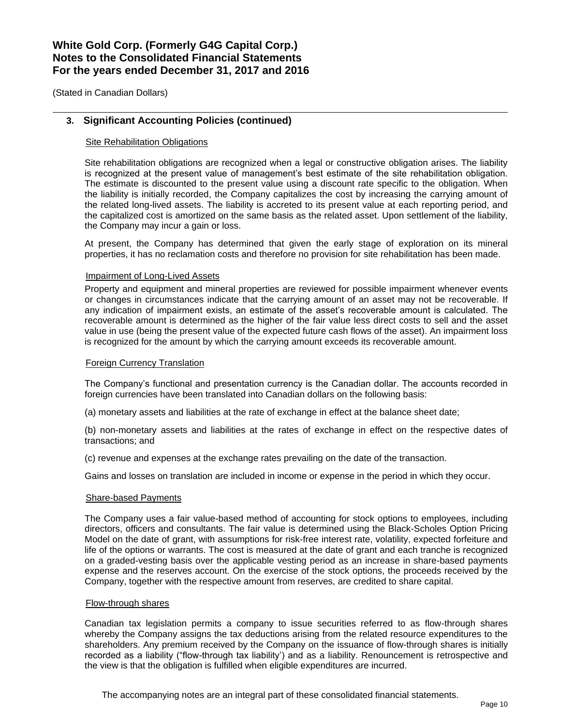(Stated in Canadian Dollars)

# **3. Significant Accounting Policies (continued)**

#### Site Rehabilitation Obligations

Site rehabilitation obligations are recognized when a legal or constructive obligation arises. The liability is recognized at the present value of management's best estimate of the site rehabilitation obligation. The estimate is discounted to the present value using a discount rate specific to the obligation. When the liability is initially recorded, the Company capitalizes the cost by increasing the carrying amount of the related long-lived assets. The liability is accreted to its present value at each reporting period, and the capitalized cost is amortized on the same basis as the related asset. Upon settlement of the liability, the Company may incur a gain or loss.

At present, the Company has determined that given the early stage of exploration on its mineral properties, it has no reclamation costs and therefore no provision for site rehabilitation has been made.

#### Impairment of Long-Lived Assets

Property and equipment and mineral properties are reviewed for possible impairment whenever events or changes in circumstances indicate that the carrying amount of an asset may not be recoverable. If any indication of impairment exists, an estimate of the asset's recoverable amount is calculated. The recoverable amount is determined as the higher of the fair value less direct costs to sell and the asset value in use (being the present value of the expected future cash flows of the asset). An impairment loss is recognized for the amount by which the carrying amount exceeds its recoverable amount.

#### Foreign Currency Translation

The Company's functional and presentation currency is the Canadian dollar. The accounts recorded in foreign currencies have been translated into Canadian dollars on the following basis:

(a) monetary assets and liabilities at the rate of exchange in effect at the balance sheet date;

(b) non-monetary assets and liabilities at the rates of exchange in effect on the respective dates of transactions; and

(c) revenue and expenses at the exchange rates prevailing on the date of the transaction.

Gains and losses on translation are included in income or expense in the period in which they occur.

#### Share-based Payments

The Company uses a fair value-based method of accounting for stock options to employees, including directors, officers and consultants. The fair value is determined using the Black-Scholes Option Pricing Model on the date of grant, with assumptions for risk-free interest rate, volatility, expected forfeiture and life of the options or warrants. The cost is measured at the date of grant and each tranche is recognized on a graded-vesting basis over the applicable vesting period as an increase in share-based payments expense and the reserves account. On the exercise of the stock options, the proceeds received by the Company, together with the respective amount from reserves, are credited to share capital.

#### Flow-through shares

Canadian tax legislation permits a company to issue securities referred to as flow-through shares whereby the Company assigns the tax deductions arising from the related resource expenditures to the shareholders. Any premium received by the Company on the issuance of flow-through shares is initially recorded as a liability ("flow-through tax liability') and as a liability. Renouncement is retrospective and the view is that the obligation is fulfilled when eligible expenditures are incurred.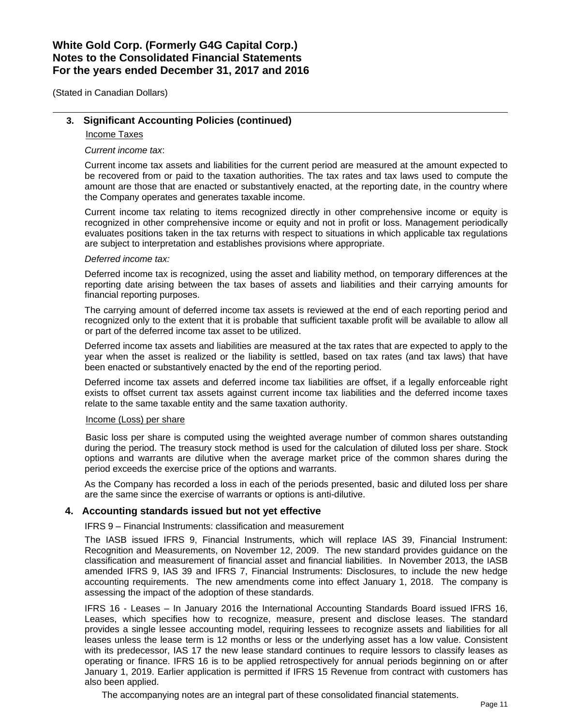(Stated in Canadian Dollars)

# **3. Significant Accounting Policies (continued)**

# Income Taxes

### *Current income tax*:

Current income tax assets and liabilities for the current period are measured at the amount expected to be recovered from or paid to the taxation authorities. The tax rates and tax laws used to compute the amount are those that are enacted or substantively enacted, at the reporting date, in the country where the Company operates and generates taxable income.

Current income tax relating to items recognized directly in other comprehensive income or equity is recognized in other comprehensive income or equity and not in profit or loss. Management periodically evaluates positions taken in the tax returns with respect to situations in which applicable tax regulations are subject to interpretation and establishes provisions where appropriate.

#### *Deferred income tax:*

Deferred income tax is recognized, using the asset and liability method, on temporary differences at the reporting date arising between the tax bases of assets and liabilities and their carrying amounts for financial reporting purposes.

The carrying amount of deferred income tax assets is reviewed at the end of each reporting period and recognized only to the extent that it is probable that sufficient taxable profit will be available to allow all or part of the deferred income tax asset to be utilized.

Deferred income tax assets and liabilities are measured at the tax rates that are expected to apply to the year when the asset is realized or the liability is settled, based on tax rates (and tax laws) that have been enacted or substantively enacted by the end of the reporting period.

Deferred income tax assets and deferred income tax liabilities are offset, if a legally enforceable right exists to offset current tax assets against current income tax liabilities and the deferred income taxes relate to the same taxable entity and the same taxation authority.

#### Income (Loss) per share

Basic loss per share is computed using the weighted average number of common shares outstanding during the period. The treasury stock method is used for the calculation of diluted loss per share. Stock options and warrants are dilutive when the average market price of the common shares during the period exceeds the exercise price of the options and warrants.

As the Company has recorded a loss in each of the periods presented, basic and diluted loss per share are the same since the exercise of warrants or options is anti-dilutive.

### **4. Accounting standards issued but not yet effective**

IFRS 9 – Financial Instruments: classification and measurement

The IASB issued IFRS 9, Financial Instruments, which will replace IAS 39, Financial Instrument: Recognition and Measurements, on November 12, 2009. The new standard provides guidance on the classification and measurement of financial asset and financial liabilities. In November 2013, the IASB amended IFRS 9, IAS 39 and IFRS 7, Financial Instruments: Disclosures, to include the new hedge accounting requirements. The new amendments come into effect January 1, 2018. The company is assessing the impact of the adoption of these standards.

IFRS 16 - Leases – In January 2016 the International Accounting Standards Board issued IFRS 16, Leases, which specifies how to recognize, measure, present and disclose leases. The standard provides a single lessee accounting model, requiring lessees to recognize assets and liabilities for all leases unless the lease term is 12 months or less or the underlying asset has a low value. Consistent with its predecessor, IAS 17 the new lease standard continues to require lessors to classify leases as operating or finance. IFRS 16 is to be applied retrospectively for annual periods beginning on or after January 1, 2019. Earlier application is permitted if IFRS 15 Revenue from contract with customers has also been applied.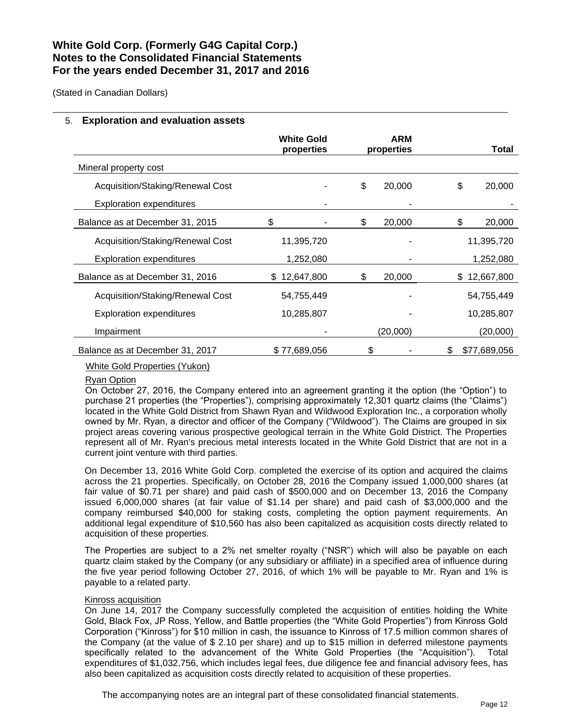(Stated in Canadian Dollars)

# 5. **Exploration and evaluation assets**

|                                  | <b>White Gold</b><br>properties | <b>ARM</b><br>properties | Total              |
|----------------------------------|---------------------------------|--------------------------|--------------------|
| Mineral property cost            |                                 |                          |                    |
| Acquisition/Staking/Renewal Cost |                                 | \$<br>20,000             | \$<br>20,000       |
| <b>Exploration expenditures</b>  |                                 |                          |                    |
| Balance as at December 31, 2015  | \$                              | 20,000<br>\$             | S<br>20,000        |
| Acquisition/Staking/Renewal Cost | 11,395,720                      |                          | 11,395,720         |
| <b>Exploration expenditures</b>  | 1,252,080                       |                          | 1,252,080          |
| Balance as at December 31, 2016  | \$12,647,800                    | 20,000<br>\$             | 12,667,800<br>SS.  |
| Acquisition/Staking/Renewal Cost | 54,755,449                      |                          | 54,755,449         |
| <b>Exploration expenditures</b>  | 10,285,807                      |                          | 10,285,807         |
| Impairment                       |                                 | (20,000)                 | (20,000)           |
| Balance as at December 31, 2017  | \$77,689,056                    | \$                       | \$77,689,056<br>Ж. |

## White Gold Properties (Yukon)

### Ryan Option

On October 27, 2016, the Company entered into an agreement granting it the option (the "Option") to purchase 21 properties (the "Properties"), comprising approximately 12,301 quartz claims (the "Claims") located in the White Gold District from Shawn Ryan and Wildwood Exploration Inc., a corporation wholly owned by Mr. Ryan, a director and officer of the Company ("Wildwood"). The Claims are grouped in six project areas covering various prospective geological terrain in the White Gold District. The Properties represent all of Mr. Ryan's precious metal interests located in the White Gold District that are not in a current joint venture with third parties.

On December 13, 2016 White Gold Corp. completed the exercise of its option and acquired the claims across the 21 properties. Specifically, on October 28, 2016 the Company issued 1,000,000 shares (at fair value of \$0.71 per share) and paid cash of \$500,000 and on December 13, 2016 the Company issued 6,000,000 shares (at fair value of \$1.14 per share) and paid cash of \$3,000,000 and the company reimbursed \$40,000 for staking costs, completing the option payment requirements. An additional legal expenditure of \$10,560 has also been capitalized as acquisition costs directly related to acquisition of these properties.

The Properties are subject to a 2% net smelter royalty ("NSR") which will also be payable on each quartz claim staked by the Company (or any subsidiary or affiliate) in a specified area of influence during the five year period following October 27, 2016, of which 1% will be payable to Mr. Ryan and 1% is payable to a related party.

#### Kinross acquisition

On June 14, 2017 the Company successfully completed the acquisition of entities holding the White Gold, Black Fox, JP Ross, Yellow, and Battle properties (the "White Gold Properties") from Kinross Gold Corporation ("Kinross") for \$10 million in cash, the issuance to Kinross of 17.5 million common shares of the Company (at the value of \$ 2.10 per share) and up to \$15 million in deferred milestone payments specifically related to the advancement of the White Gold Properties (the "Acquisition"). Total expenditures of \$1,032,756, which includes legal fees, due diligence fee and financial advisory fees, has also been capitalized as acquisition costs directly related to acquisition of these properties.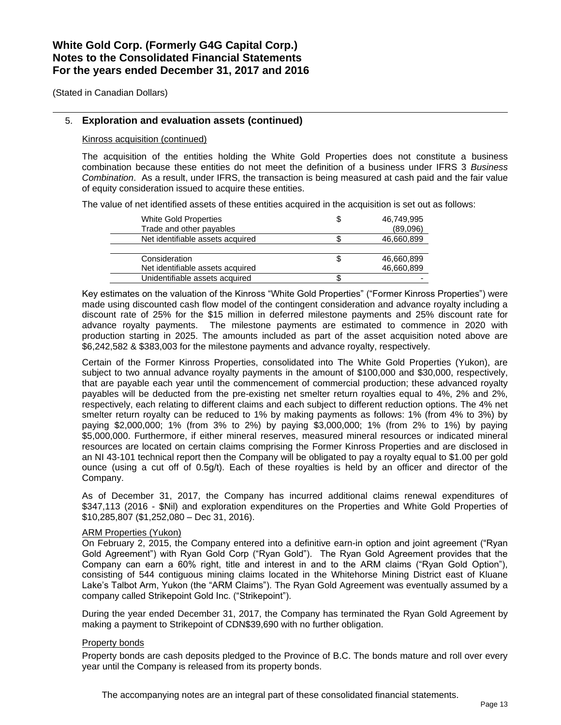(Stated in Canadian Dollars)

## 5. **Exploration and evaluation assets (continued)**

#### Kinross acquisition (continued)

The acquisition of the entities holding the White Gold Properties does not constitute a business combination because these entities do not meet the definition of a business under IFRS 3 *Business Combination*. As a result, under IFRS, the transaction is being measured at cash paid and the fair value of equity consideration issued to acquire these entities.

The value of net identified assets of these entities acquired in the acquisition is set out as follows:

| <b>White Gold Properties</b>     | \$<br>46,749,995 |
|----------------------------------|------------------|
| Trade and other payables         | (89,096)         |
| Net identifiable assets acquired | 46,660,899       |
|                                  |                  |
| Consideration                    | 46,660,899       |
| Net identifiable assets acquired | 46,660,899       |
| Unidentifiable assets acquired   |                  |

Key estimates on the valuation of the Kinross "White Gold Properties" ("Former Kinross Properties") were made using discounted cash flow model of the contingent consideration and advance royalty including a discount rate of 25% for the \$15 million in deferred milestone payments and 25% discount rate for advance royalty payments. The milestone payments are estimated to commence in 2020 with production starting in 2025. The amounts included as part of the asset acquisition noted above are \$6,242,582 & \$383,003 for the milestone payments and advance royalty, respectively.

Certain of the Former Kinross Properties, consolidated into The White Gold Properties (Yukon), are subject to two annual advance royalty payments in the amount of \$100,000 and \$30,000, respectively, that are payable each year until the commencement of commercial production; these advanced royalty payables will be deducted from the pre-existing net smelter return royalties equal to 4%, 2% and 2%, respectively, each relating to different claims and each subject to different reduction options. The 4% net smelter return royalty can be reduced to 1% by making payments as follows: 1% (from 4% to 3%) by paying \$2,000,000; 1% (from 3% to 2%) by paying \$3,000,000; 1% (from 2% to 1%) by paying \$5,000,000. Furthermore, if either mineral reserves, measured mineral resources or indicated mineral resources are located on certain claims comprising the Former Kinross Properties and are disclosed in an NI 43-101 technical report then the Company will be obligated to pay a royalty equal to \$1.00 per gold ounce (using a cut off of 0.5g/t). Each of these royalties is held by an officer and director of the Company.

As of December 31, 2017, the Company has incurred additional claims renewal expenditures of \$347,113 (2016 - \$Nil) and exploration expenditures on the Properties and White Gold Properties of \$10,285,807 (\$1,252,080 – Dec 31, 2016).

### ARM Properties (Yukon)

On February 2, 2015, the Company entered into a definitive earn-in option and joint agreement ("Ryan Gold Agreement") with Ryan Gold Corp ("Ryan Gold"). The Ryan Gold Agreement provides that the Company can earn a 60% right, title and interest in and to the ARM claims ("Ryan Gold Option"), consisting of 544 contiguous mining claims located in the Whitehorse Mining District east of Kluane Lake's Talbot Arm, Yukon (the "ARM Claims"). The Ryan Gold Agreement was eventually assumed by a company called Strikepoint Gold Inc. ("Strikepoint").

During the year ended December 31, 2017, the Company has terminated the Ryan Gold Agreement by making a payment to Strikepoint of CDN\$39,690 with no further obligation.

### Property bonds

Property bonds are cash deposits pledged to the Province of B.C. The bonds mature and roll over every year until the Company is released from its property bonds.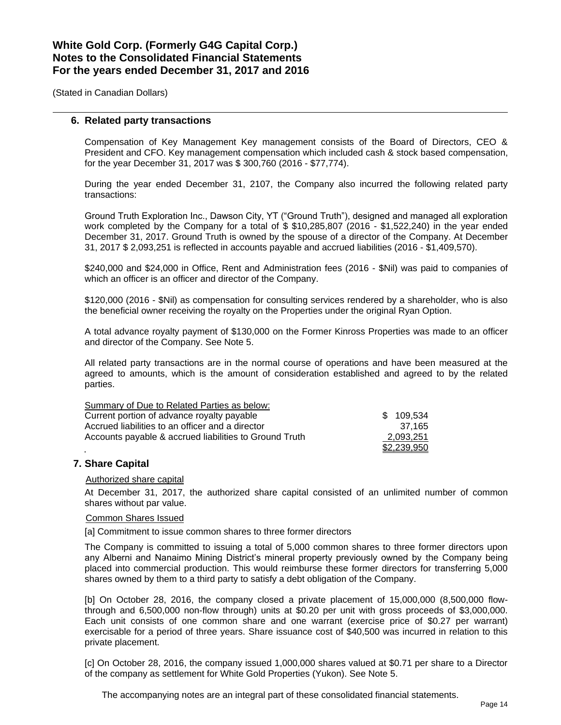(Stated in Canadian Dollars)

## **6. Related party transactions**

Compensation of Key Management Key management consists of the Board of Directors, CEO & President and CFO. Key management compensation which included cash & stock based compensation, for the year December 31, 2017 was \$ 300,760 (2016 - \$77,774).

During the year ended December 31, 2107, the Company also incurred the following related party transactions:

Ground Truth Exploration Inc., Dawson City, YT ("Ground Truth"), designed and managed all exploration work completed by the Company for a total of \$ \$10,285,807 (2016 - \$1,522,240) in the year ended December 31, 2017. Ground Truth is owned by the spouse of a director of the Company. At December 31, 2017 \$ 2,093,251 is reflected in accounts payable and accrued liabilities (2016 - \$1,409,570).

\$240,000 and \$24,000 in Office, Rent and Administration fees (2016 - \$Nil) was paid to companies of which an officer is an officer and director of the Company.

\$120,000 (2016 - \$Nil) as compensation for consulting services rendered by a shareholder, who is also the beneficial owner receiving the royalty on the Properties under the original Ryan Option.

A total advance royalty payment of \$130,000 on the Former Kinross Properties was made to an officer and director of the Company. See Note 5.

All related party transactions are in the normal course of operations and have been measured at the agreed to amounts, which is the amount of consideration established and agreed to by the related parties.

| Summary of Due to Related Parties as below:            |             |
|--------------------------------------------------------|-------------|
| Current portion of advance royalty payable             | \$109.534   |
| Accrued liabilities to an officer and a director       | 37.165      |
| Accounts payable & accrued liabilities to Ground Truth | 2.093.251   |
|                                                        | \$2.239.950 |

# **7. Share Capital**

#### Authorized share capital

At December 31, 2017, the authorized share capital consisted of an unlimited number of common shares without par value.

### Common Shares Issued

[a] Commitment to issue common shares to three former directors

The Company is committed to issuing a total of 5,000 common shares to three former directors upon any Alberni and Nanaimo Mining District's mineral property previously owned by the Company being placed into commercial production. This would reimburse these former directors for transferring 5,000 shares owned by them to a third party to satisfy a debt obligation of the Company.

[b] On October 28, 2016, the company closed a private placement of 15,000,000 (8,500,000 flowthrough and 6,500,000 non-flow through) units at \$0.20 per unit with gross proceeds of \$3,000,000. Each unit consists of one common share and one warrant (exercise price of \$0.27 per warrant) exercisable for a period of three years. Share issuance cost of \$40,500 was incurred in relation to this private placement.

[c] On October 28, 2016, the company issued 1,000,000 shares valued at \$0.71 per share to a Director of the company as settlement for White Gold Properties (Yukon). See Note 5.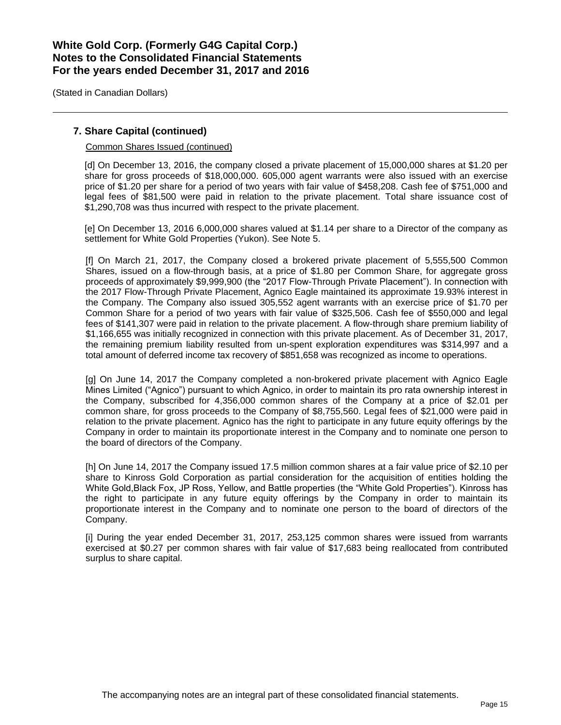(Stated in Canadian Dollars)

# **7. Share Capital (continued)**

## Common Shares Issued (continued)

[d] On December 13, 2016, the company closed a private placement of 15,000,000 shares at \$1.20 per share for gross proceeds of \$18,000,000. 605,000 agent warrants were also issued with an exercise price of \$1.20 per share for a period of two years with fair value of \$458,208. Cash fee of \$751,000 and legal fees of \$81,500 were paid in relation to the private placement. Total share issuance cost of \$1,290,708 was thus incurred with respect to the private placement.

[e] On December 13, 2016 6,000,000 shares valued at \$1.14 per share to a Director of the company as settlement for White Gold Properties (Yukon). See Note 5.

[f] On March 21, 2017, the Company closed a brokered private placement of 5,555,500 Common Shares, issued on a flow-through basis, at a price of \$1.80 per Common Share, for aggregate gross proceeds of approximately \$9,999,900 (the "2017 Flow-Through Private Placement"). In connection with the 2017 Flow-Through Private Placement, Agnico Eagle maintained its approximate 19.93% interest in the Company. The Company also issued 305,552 agent warrants with an exercise price of \$1.70 per Common Share for a period of two years with fair value of \$325,506. Cash fee of \$550,000 and legal fees of \$141,307 were paid in relation to the private placement. A flow-through share premium liability of \$1,166,655 was initially recognized in connection with this private placement. As of December 31, 2017, the remaining premium liability resulted from un-spent exploration expenditures was \$314,997 and a total amount of deferred income tax recovery of \$851,658 was recognized as income to operations.

[g] On June 14, 2017 the Company completed a non-brokered private placement with Agnico Eagle Mines Limited ("Agnico") pursuant to which Agnico, in order to maintain its pro rata ownership interest in the Company, subscribed for 4,356,000 common shares of the Company at a price of \$2.01 per common share, for gross proceeds to the Company of \$8,755,560. Legal fees of \$21,000 were paid in relation to the private placement. Agnico has the right to participate in any future equity offerings by the Company in order to maintain its proportionate interest in the Company and to nominate one person to the board of directors of the Company.

[h] On June 14, 2017 the Company issued 17.5 million common shares at a fair value price of \$2.10 per share to Kinross Gold Corporation as partial consideration for the acquisition of entities holding the White Gold,Black Fox, JP Ross, Yellow, and Battle properties (the "White Gold Properties"). Kinross has the right to participate in any future equity offerings by the Company in order to maintain its proportionate interest in the Company and to nominate one person to the board of directors of the Company.

[i] During the year ended December 31, 2017, 253,125 common shares were issued from warrants exercised at \$0.27 per common shares with fair value of \$17,683 being reallocated from contributed surplus to share capital.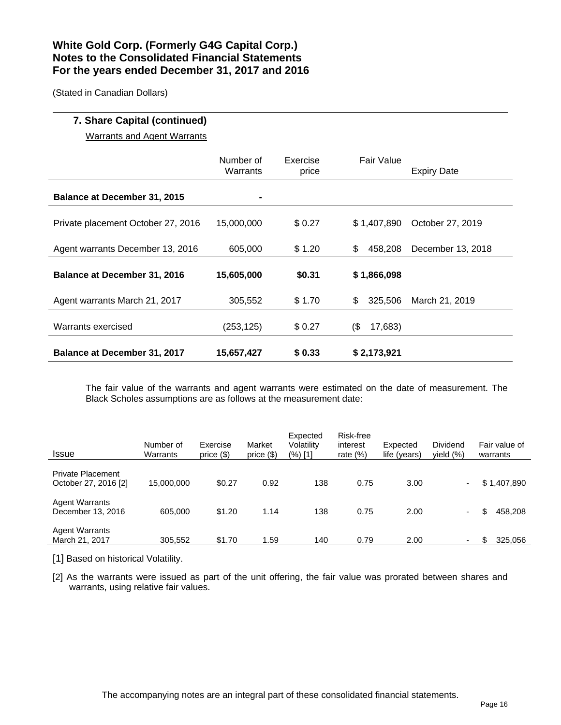(Stated in Canadian Dollars)

# **7. Share Capital (continued)**

Warrants and Agent Warrants

|                                     | Number of<br>Warrants | Exercise<br>price | Fair Value        | <b>Expiry Date</b> |
|-------------------------------------|-----------------------|-------------------|-------------------|--------------------|
| <b>Balance at December 31, 2015</b> |                       |                   |                   |                    |
| Private placement October 27, 2016  | 15,000,000            | \$0.27            | \$1,407,890       | October 27, 2019   |
| Agent warrants December 13, 2016    | 605,000               | \$1.20            | S.<br>458,208     | December 13, 2018  |
| <b>Balance at December 31, 2016</b> | 15,605,000            | \$0.31            | \$1,866,098       |                    |
| Agent warrants March 21, 2017       | 305,552               | \$1.70            | 325,506<br>S      | March 21, 2019     |
| Warrants exercised                  | (253,125)             | \$0.27            | $($ \$<br>17,683) |                    |
| Balance at December 31, 2017        | 15,657,427            | \$0.33            | \$2,173,921       |                    |

The fair value of the warrants and agent warrants were estimated on the date of measurement. The Black Scholes assumptions are as follows at the measurement date:

| Issue                                      | Number of<br>Warrants | Exercise<br>price $($ | Market<br>price $(\$)$ | Expected<br>Volatility<br>(%) [1] | Risk-free<br>interest<br>rate $(\%)$ | Expected<br>life (years) | Dividend<br>vield (%) | Fair value of<br>warrants |
|--------------------------------------------|-----------------------|-----------------------|------------------------|-----------------------------------|--------------------------------------|--------------------------|-----------------------|---------------------------|
| Private Placement<br>October 27, 2016 [2]  | 15,000,000            | \$0.27                | 0.92                   | 138                               | 0.75                                 | 3.00                     | ۰.                    | \$1,407,890               |
| <b>Agent Warrants</b><br>December 13, 2016 | 605.000               | \$1.20                | 1.14                   | 138                               | 0.75                                 | 2.00                     | $\sim$                | \$<br>458.208             |
| <b>Agent Warrants</b><br>March 21, 2017    | 305,552               | \$1.70                | 1.59                   | 140                               | 0.79                                 | 2.00                     | $\blacksquare$        | 325,056<br>\$             |

[1] Based on historical Volatility.

[2] As the warrants were issued as part of the unit offering, the fair value was prorated between shares and warrants, using relative fair values.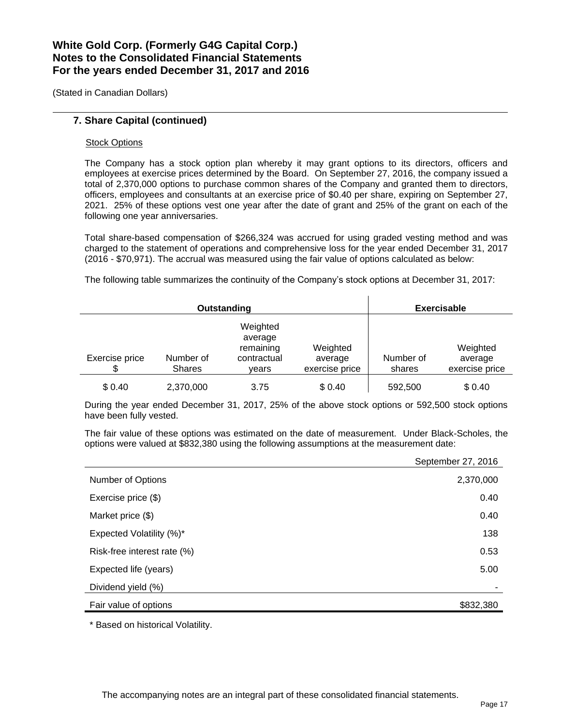(Stated in Canadian Dollars)

# **7. Share Capital (continued)**

### Stock Options

The Company has a stock option plan whereby it may grant options to its directors, officers and employees at exercise prices determined by the Board. On September 27, 2016, the company issued a total of 2,370,000 options to purchase common shares of the Company and granted them to directors, officers, employees and consultants at an exercise price of \$0.40 per share, expiring on September 27, 2021. 25% of these options vest one year after the date of grant and 25% of the grant on each of the following one year anniversaries.

Total share-based compensation of \$266,324 was accrued for using graded vesting method and was charged to the statement of operations and comprehensive loss for the year ended December 31, 2017 (2016 - \$70,971). The accrual was measured using the fair value of options calculated as below:

The following table summarizes the continuity of the Company's stock options at December 31, 2017:

| Outstanding    |                            |                                                          |                                       | <b>Exercisable</b>  |                                       |
|----------------|----------------------------|----------------------------------------------------------|---------------------------------------|---------------------|---------------------------------------|
| Exercise price | Number of<br><b>Shares</b> | Weighted<br>average<br>remaining<br>contractual<br>vears | Weighted<br>average<br>exercise price | Number of<br>shares | Weighted<br>average<br>exercise price |
| \$0.40         | 2,370,000                  | 3.75                                                     | \$0.40                                | 592,500             | \$0.40                                |

During the year ended December 31, 2017, 25% of the above stock options or 592,500 stock options have been fully vested.

The fair value of these options was estimated on the date of measurement. Under Black-Scholes, the options were valued at \$832,380 using the following assumptions at the measurement date:

|                             | September 27, 2016 |
|-----------------------------|--------------------|
| Number of Options           | 2,370,000          |
| Exercise price (\$)         | 0.40               |
| Market price (\$)           | 0.40               |
| Expected Volatility (%)*    | 138                |
| Risk-free interest rate (%) | 0.53               |
| Expected life (years)       | 5.00               |
| Dividend yield (%)          |                    |
| Fair value of options       | \$832,380          |

\* Based on historical Volatility.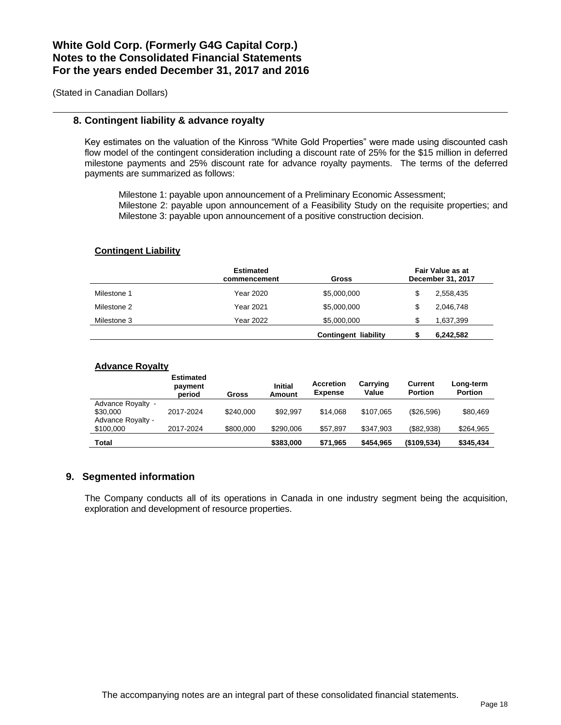(Stated in Canadian Dollars)

## **8. Contingent liability & advance royalty**

Key estimates on the valuation of the Kinross "White Gold Properties" were made using discounted cash flow model of the contingent consideration including a discount rate of 25% for the \$15 million in deferred milestone payments and 25% discount rate for advance royalty payments. The terms of the deferred payments are summarized as follows:

Milestone 1: payable upon announcement of a Preliminary Economic Assessment; Milestone 2: payable upon announcement of a Feasibility Study on the requisite properties; and Milestone 3: payable upon announcement of a positive construction decision.

### **Contingent Liability**

|             | <b>Estimated</b><br>commencement | Gross                       | Fair Value as at<br>December 31, 2017 |           |  |
|-------------|----------------------------------|-----------------------------|---------------------------------------|-----------|--|
| Milestone 1 | Year 2020                        | \$5,000,000                 | \$                                    | 2,558,435 |  |
| Milestone 2 | Year 2021                        | \$5,000,000                 | \$                                    | 2,046,748 |  |
| Milestone 3 | Year 2022                        | \$5,000,000                 | \$                                    | 1,637,399 |  |
|             |                                  | <b>Contingent liability</b> |                                       | 6,242,582 |  |

## **Advance Royalty**

|                                | <b>Estimated</b><br>payment<br>period | Gross     | <b>Initial</b><br>Amount | <b>Accretion</b><br><b>Expense</b> | Carrying<br>Value | <b>Current</b><br><b>Portion</b> | Long-term<br><b>Portion</b> |
|--------------------------------|---------------------------------------|-----------|--------------------------|------------------------------------|-------------------|----------------------------------|-----------------------------|
| Advance Royalty -<br>\$30,000  | 2017-2024                             | \$240,000 | \$92.997                 | \$14,068                           | \$107.065         | (\$26,596)                       | \$80,469                    |
| Advance Royalty -<br>\$100,000 | 2017-2024                             | \$800,000 | \$290,006                | \$57.897                           | \$347.903         | (\$82,938)                       | \$264,965                   |
| Total                          |                                       |           | \$383,000                | \$71.965                           | \$454,965         | (\$109,534)                      | \$345,434                   |

# **9. Segmented information**

The Company conducts all of its operations in Canada in one industry segment being the acquisition, exploration and development of resource properties.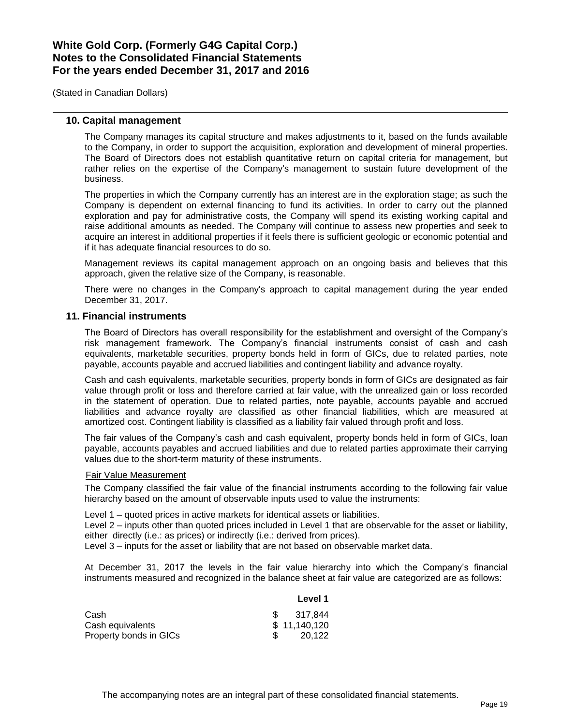(Stated in Canadian Dollars)

## **10. Capital management**

The Company manages its capital structure and makes adjustments to it, based on the funds available to the Company, in order to support the acquisition, exploration and development of mineral properties. The Board of Directors does not establish quantitative return on capital criteria for management, but rather relies on the expertise of the Company's management to sustain future development of the business.

The properties in which the Company currently has an interest are in the exploration stage; as such the Company is dependent on external financing to fund its activities. In order to carry out the planned exploration and pay for administrative costs, the Company will spend its existing working capital and raise additional amounts as needed. The Company will continue to assess new properties and seek to acquire an interest in additional properties if it feels there is sufficient geologic or economic potential and if it has adequate financial resources to do so.

Management reviews its capital management approach on an ongoing basis and believes that this approach, given the relative size of the Company, is reasonable.

There were no changes in the Company's approach to capital management during the year ended December 31, 2017.

### **11. Financial instruments**

The Board of Directors has overall responsibility for the establishment and oversight of the Company's risk management framework. The Company's financial instruments consist of cash and cash equivalents, marketable securities, property bonds held in form of GICs, due to related parties, note payable, accounts payable and accrued liabilities and contingent liability and advance royalty.

Cash and cash equivalents, marketable securities, property bonds in form of GICs are designated as fair value through profit or loss and therefore carried at fair value, with the unrealized gain or loss recorded in the statement of operation. Due to related parties, note payable, accounts payable and accrued liabilities and advance royalty are classified as other financial liabilities, which are measured at amortized cost. Contingent liability is classified as a liability fair valued through profit and loss.

The fair values of the Company's cash and cash equivalent, property bonds held in form of GICs, loan payable, accounts payables and accrued liabilities and due to related parties approximate their carrying values due to the short-term maturity of these instruments.

### Fair Value Measurement

The Company classified the fair value of the financial instruments according to the following fair value hierarchy based on the amount of observable inputs used to value the instruments:

Level 1 – quoted prices in active markets for identical assets or liabilities.

Level 2 – inputs other than quoted prices included in Level 1 that are observable for the asset or liability, either directly (i.e.: as prices) or indirectly (i.e.: derived from prices).

Level 3 – inputs for the asset or liability that are not based on observable market data.

At December 31, 2017 the levels in the fair value hierarchy into which the Company's financial instruments measured and recognized in the balance sheet at fair value are categorized are as follows:

|                        | Level 1      |
|------------------------|--------------|
| Cash                   | 317.844      |
| Cash equivalents       | \$11,140,120 |
| Property bonds in GICs | 20.122       |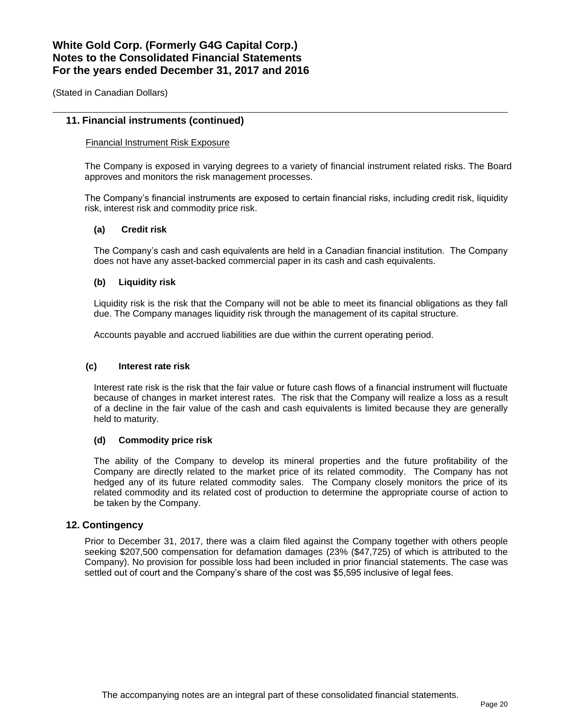(Stated in Canadian Dollars)

## **11. Financial instruments (continued)**

#### Financial Instrument Risk Exposure

The Company is exposed in varying degrees to a variety of financial instrument related risks. The Board approves and monitors the risk management processes.

The Company's financial instruments are exposed to certain financial risks, including credit risk, liquidity risk, interest risk and commodity price risk.

### **(a) Credit risk**

The Company's cash and cash equivalents are held in a Canadian financial institution. The Company does not have any asset-backed commercial paper in its cash and cash equivalents.

#### **(b) Liquidity risk**

Liquidity risk is the risk that the Company will not be able to meet its financial obligations as they fall due. The Company manages liquidity risk through the management of its capital structure.

Accounts payable and accrued liabilities are due within the current operating period.

### **(c) Interest rate risk**

Interest rate risk is the risk that the fair value or future cash flows of a financial instrument will fluctuate because of changes in market interest rates. The risk that the Company will realize a loss as a result of a decline in the fair value of the cash and cash equivalents is limited because they are generally held to maturity.

### **(d) Commodity price risk**

The ability of the Company to develop its mineral properties and the future profitability of the Company are directly related to the market price of its related commodity. The Company has not hedged any of its future related commodity sales. The Company closely monitors the price of its related commodity and its related cost of production to determine the appropriate course of action to be taken by the Company.

### **12. Contingency**

Prior to December 31, 2017, there was a claim filed against the Company together with others people seeking \$207,500 compensation for defamation damages (23% (\$47,725) of which is attributed to the Company). No provision for possible loss had been included in prior financial statements. The case was settled out of court and the Company's share of the cost was \$5,595 inclusive of legal fees.